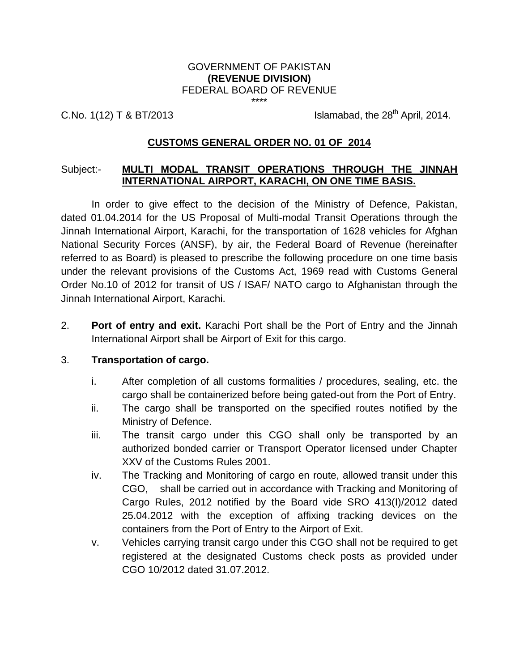## GOVERNMENT OF PAKISTAN **(REVENUE DIVISION)** FEDERAL BOARD OF REVENUE

\*\*\*\*

C.No.  $1(12)$  T & BT/2013

Islamabad, the  $28<sup>th</sup>$  April, 2014.

# **CUSTOMS GENERAL ORDER NO. 01 OF 2014**

#### Subject:- **MULTI MODAL TRANSIT OPERATIONS THROUGH THE JINNAH INTERNATIONAL AIRPORT, KARACHI, ON ONE TIME BASIS.**

In order to give effect to the decision of the Ministry of Defence, Pakistan, dated 01.04.2014 for the US Proposal of Multi-modal Transit Operations through the Jinnah International Airport, Karachi, for the transportation of 1628 vehicles for Afghan National Security Forces (ANSF), by air, the Federal Board of Revenue (hereinafter referred to as Board) is pleased to prescribe the following procedure on one time basis under the relevant provisions of the Customs Act, 1969 read with Customs General Order No.10 of 2012 for transit of US / ISAF/ NATO cargo to Afghanistan through the Jinnah International Airport, Karachi.

2. **Port of entry and exit.** Karachi Port shall be the Port of Entry and the Jinnah International Airport shall be Airport of Exit for this cargo.

## 3. **Transportation of cargo.**

- i. After completion of all customs formalities / procedures, sealing, etc. the cargo shall be containerized before being gated-out from the Port of Entry.
- ii. The cargo shall be transported on the specified routes notified by the Ministry of Defence.
- iii. The transit cargo under this CGO shall only be transported by an authorized bonded carrier or Transport Operator licensed under Chapter XXV of the Customs Rules 2001.
- iv. The Tracking and Monitoring of cargo en route, allowed transit under this CGO, shall be carried out in accordance with Tracking and Monitoring of Cargo Rules, 2012 notified by the Board vide SRO 413(I)/2012 dated 25.04.2012 with the exception of affixing tracking devices on the containers from the Port of Entry to the Airport of Exit.
- v. Vehicles carrying transit cargo under this CGO shall not be required to get registered at the designated Customs check posts as provided under CGO 10/2012 dated 31.07.2012.